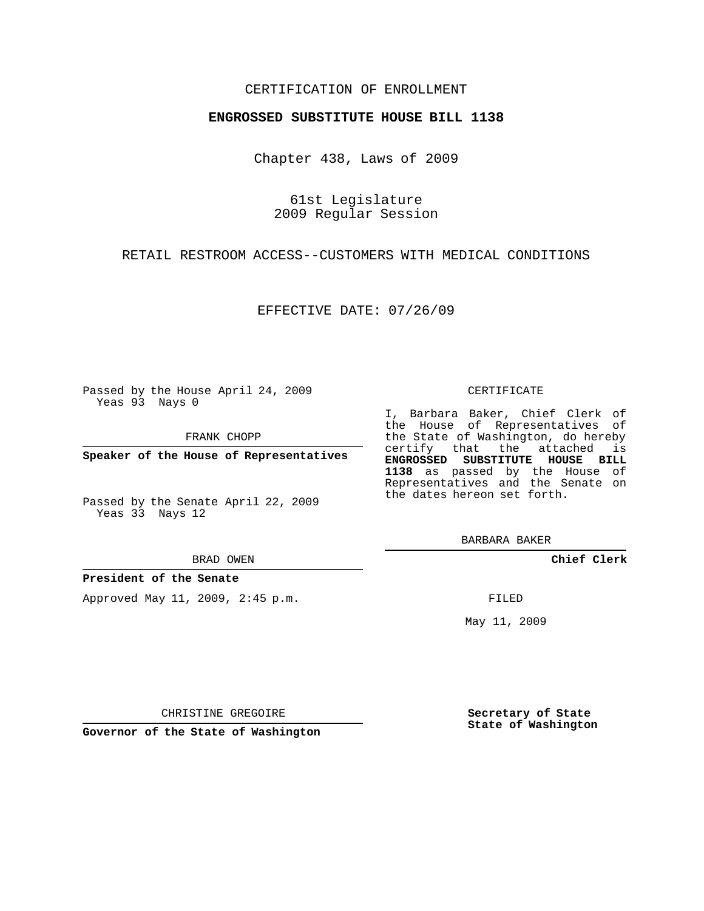### CERTIFICATION OF ENROLLMENT

### **ENGROSSED SUBSTITUTE HOUSE BILL 1138**

Chapter 438, Laws of 2009

61st Legislature 2009 Regular Session

RETAIL RESTROOM ACCESS--CUSTOMERS WITH MEDICAL CONDITIONS

EFFECTIVE DATE: 07/26/09

Passed by the House April 24, 2009 Yeas 93 Nays 0

FRANK CHOPP

**Speaker of the House of Representatives**

Passed by the Senate April 22, 2009 Yeas 33 Nays 12

#### BRAD OWEN

**President of the Senate**

Approved May 11, 2009, 2:45 p.m.

#### CERTIFICATE

I, Barbara Baker, Chief Clerk of the House of Representatives of the State of Washington, do hereby certify that the attached is **ENGROSSED SUBSTITUTE HOUSE BILL 1138** as passed by the House of Representatives and the Senate on the dates hereon set forth.

BARBARA BAKER

**Chief Clerk**

FILED

May 11, 2009

**Secretary of State State of Washington**

CHRISTINE GREGOIRE

**Governor of the State of Washington**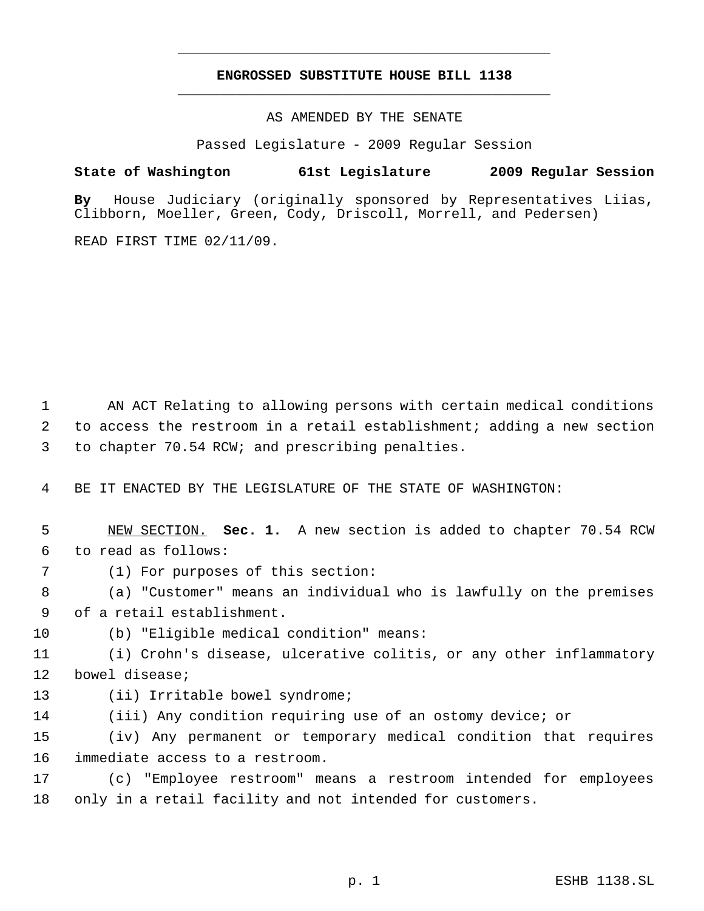# **ENGROSSED SUBSTITUTE HOUSE BILL 1138** \_\_\_\_\_\_\_\_\_\_\_\_\_\_\_\_\_\_\_\_\_\_\_\_\_\_\_\_\_\_\_\_\_\_\_\_\_\_\_\_\_\_\_\_\_

\_\_\_\_\_\_\_\_\_\_\_\_\_\_\_\_\_\_\_\_\_\_\_\_\_\_\_\_\_\_\_\_\_\_\_\_\_\_\_\_\_\_\_\_\_

AS AMENDED BY THE SENATE

Passed Legislature - 2009 Regular Session

# **State of Washington 61st Legislature 2009 Regular Session**

**By** House Judiciary (originally sponsored by Representatives Liias, Clibborn, Moeller, Green, Cody, Driscoll, Morrell, and Pedersen)

READ FIRST TIME 02/11/09.

1 AN ACT Relating to allowing persons with certain medical conditions to access the restroom in a retail establishment; adding a new section to chapter 70.54 RCW; and prescribing penalties.

BE IT ENACTED BY THE LEGISLATURE OF THE STATE OF WASHINGTON:

 NEW SECTION. **Sec. 1.** A new section is added to chapter 70.54 RCW to read as follows:

(1) For purposes of this section:

 (a) "Customer" means an individual who is lawfully on the premises of a retail establishment.

(b) "Eligible medical condition" means:

 (i) Crohn's disease, ulcerative colitis, or any other inflammatory bowel disease;

(ii) Irritable bowel syndrome;

(iii) Any condition requiring use of an ostomy device; or

 (iv) Any permanent or temporary medical condition that requires immediate access to a restroom.

 (c) "Employee restroom" means a restroom intended for employees only in a retail facility and not intended for customers.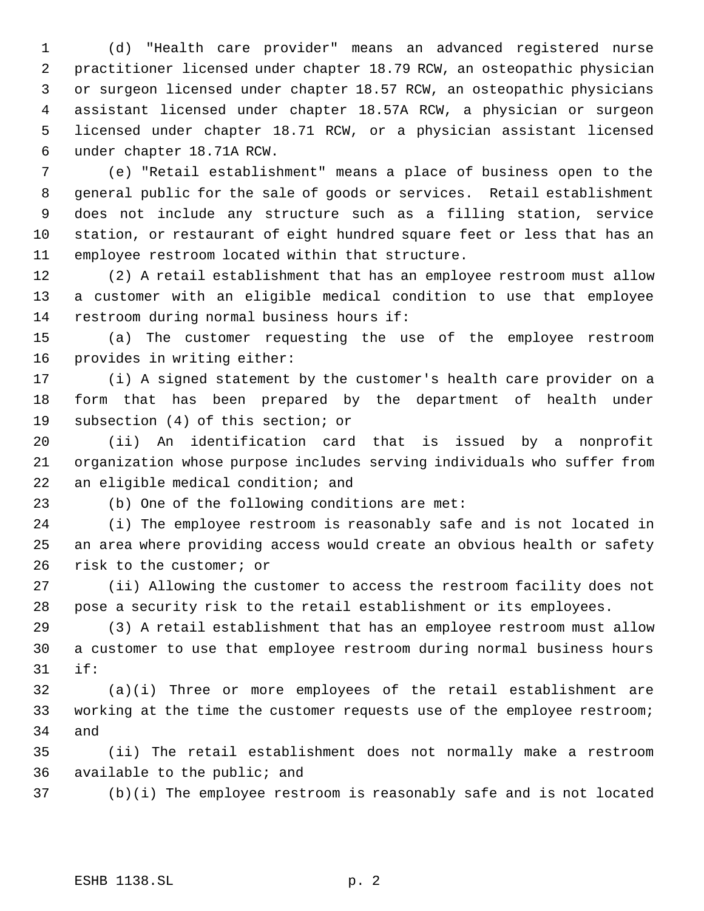(d) "Health care provider" means an advanced registered nurse practitioner licensed under chapter 18.79 RCW, an osteopathic physician or surgeon licensed under chapter 18.57 RCW, an osteopathic physicians assistant licensed under chapter 18.57A RCW, a physician or surgeon licensed under chapter 18.71 RCW, or a physician assistant licensed under chapter 18.71A RCW.

 (e) "Retail establishment" means a place of business open to the general public for the sale of goods or services. Retail establishment does not include any structure such as a filling station, service station, or restaurant of eight hundred square feet or less that has an employee restroom located within that structure.

 (2) A retail establishment that has an employee restroom must allow a customer with an eligible medical condition to use that employee restroom during normal business hours if:

 (a) The customer requesting the use of the employee restroom provides in writing either:

 (i) A signed statement by the customer's health care provider on a form that has been prepared by the department of health under subsection (4) of this section; or

 (ii) An identification card that is issued by a nonprofit organization whose purpose includes serving individuals who suffer from an eligible medical condition; and

(b) One of the following conditions are met:

 (i) The employee restroom is reasonably safe and is not located in an area where providing access would create an obvious health or safety risk to the customer; or

 (ii) Allowing the customer to access the restroom facility does not pose a security risk to the retail establishment or its employees.

 (3) A retail establishment that has an employee restroom must allow a customer to use that employee restroom during normal business hours if:

 (a)(i) Three or more employees of the retail establishment are working at the time the customer requests use of the employee restroom; and

 (ii) The retail establishment does not normally make a restroom available to the public; and

(b)(i) The employee restroom is reasonably safe and is not located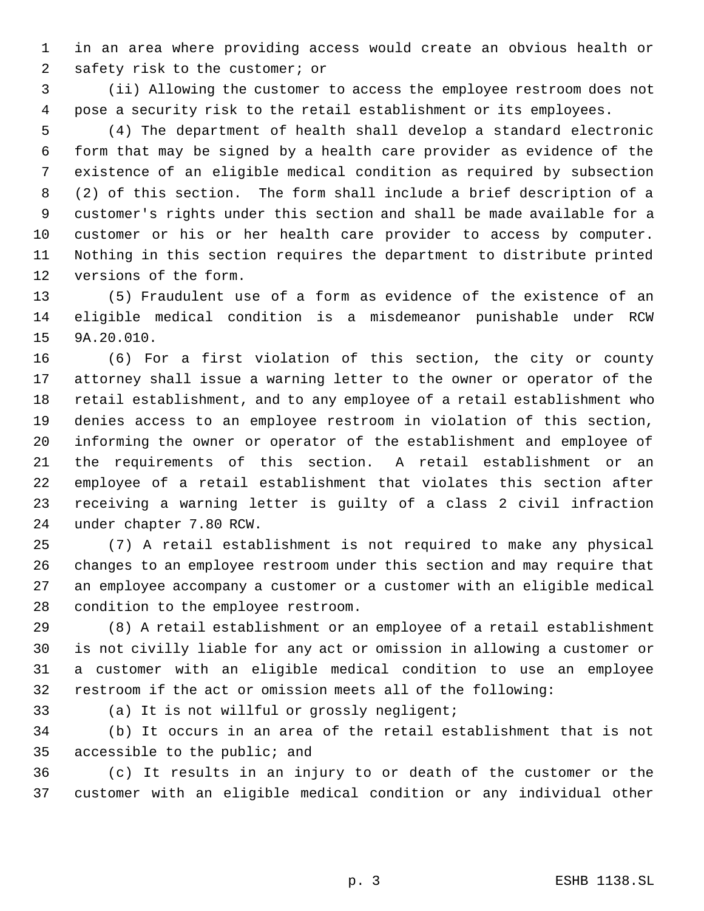in an area where providing access would create an obvious health or safety risk to the customer; or

 (ii) Allowing the customer to access the employee restroom does not pose a security risk to the retail establishment or its employees.

 (4) The department of health shall develop a standard electronic form that may be signed by a health care provider as evidence of the existence of an eligible medical condition as required by subsection (2) of this section. The form shall include a brief description of a customer's rights under this section and shall be made available for a customer or his or her health care provider to access by computer. Nothing in this section requires the department to distribute printed versions of the form.

 (5) Fraudulent use of a form as evidence of the existence of an eligible medical condition is a misdemeanor punishable under RCW 9A.20.010.

 (6) For a first violation of this section, the city or county attorney shall issue a warning letter to the owner or operator of the retail establishment, and to any employee of a retail establishment who denies access to an employee restroom in violation of this section, informing the owner or operator of the establishment and employee of the requirements of this section. A retail establishment or an employee of a retail establishment that violates this section after receiving a warning letter is guilty of a class 2 civil infraction under chapter 7.80 RCW.

 (7) A retail establishment is not required to make any physical changes to an employee restroom under this section and may require that an employee accompany a customer or a customer with an eligible medical condition to the employee restroom.

 (8) A retail establishment or an employee of a retail establishment is not civilly liable for any act or omission in allowing a customer or a customer with an eligible medical condition to use an employee restroom if the act or omission meets all of the following:

(a) It is not willful or grossly negligent;

 (b) It occurs in an area of the retail establishment that is not accessible to the public; and

 (c) It results in an injury to or death of the customer or the customer with an eligible medical condition or any individual other